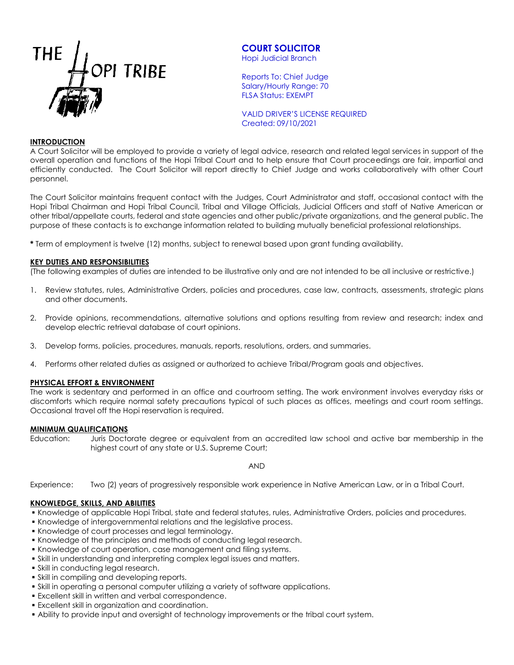

# **COURT SOLICITOR**

Hopi Judicial Branch

Reports To: Chief Judge Salary/Hourly Range: 70 FLSA Status: EXEMPT

VALID DRIVER'S LICENSE REQUIRED Created: 09/10/2021

## **INTRODUCTION**

A Court Solicitor will be employed to provide a variety of legal advice, research and related legal services in support of the overall operation and functions of the Hopi Tribal Court and to help ensure that Court proceedings are fair, impartial and efficiently conducted. The Court Solicitor will report directly to Chief Judge and works collaboratively with other Court personnel.

The Court Solicitor maintains frequent contact with the Judges, Court Administrator and staff, occasional contact with the Hopi Tribal Chairman and Hopi Tribal Council, Tribal and Village Officials, Judicial Officers and staff of Native American or other tribal/appellate courts, federal and state agencies and other public/private organizations, and the general public. The purpose of these contacts is to exchange information related to building mutually beneficial professional relationships.

**\*** Term of employment is twelve (12) months, subject to renewal based upon grant funding availability.

#### **KEY DUTIES AND RESPONSIBILITIES**

(The following examples of duties are intended to be illustrative only and are not intended to be all inclusive or restrictive.)

- 1. Review statutes, rules, Administrative Orders, policies and procedures, case law, contracts, assessments, strategic plans and other documents.
- 2. Provide opinions, recommendations, alternative solutions and options resulting from review and research; index and develop electric retrieval database of court opinions.
- 3. Develop forms, policies, procedures, manuals, reports, resolutions, orders, and summaries.
- 4. Performs other related duties as assigned or authorized to achieve Tribal/Program goals and objectives.

#### **PHYSICAL EFFORT & ENVIRONMENT**

The work is sedentary and performed in an office and courtroom setting. The work environment involves everyday risks or discomforts which require normal safety precautions typical of such places as offices, meetings and court room settings. Occasional travel off the Hopi reservation is required.

#### **MINIMUM QUALIFICATIONS**

Education: Juris Doctorate degree or equivalent from an accredited law school and active bar membership in the highest court of any state or U.S. Supreme Court;

AND

Experience: Two (2) years of progressively responsible work experience in Native American Law, or in a Tribal Court.

## **KNOWLEDGE, SKILLS, AND ABILITIES**

Knowledge of applicable Hopi Tribal, state and federal statutes, rules, Administrative Orders, policies and procedures.

- Knowledge of intergovernmental relations and the legislative process.
- Knowledge of court processes and legal terminology.
- Knowledge of the principles and methods of conducting legal research.
- Knowledge of court operation, case management and filing systems.
- Skill in understanding and interpreting complex legal issues and matters.
- **Skill in conducting legal research.**
- Skill in compiling and developing reports.
- Skill in operating a personal computer utilizing a variety of software applications.
- Excellent skill in written and verbal correspondence.
- Excellent skill in organization and coordination.
- Ability to provide input and oversight of technology improvements or the tribal court system.